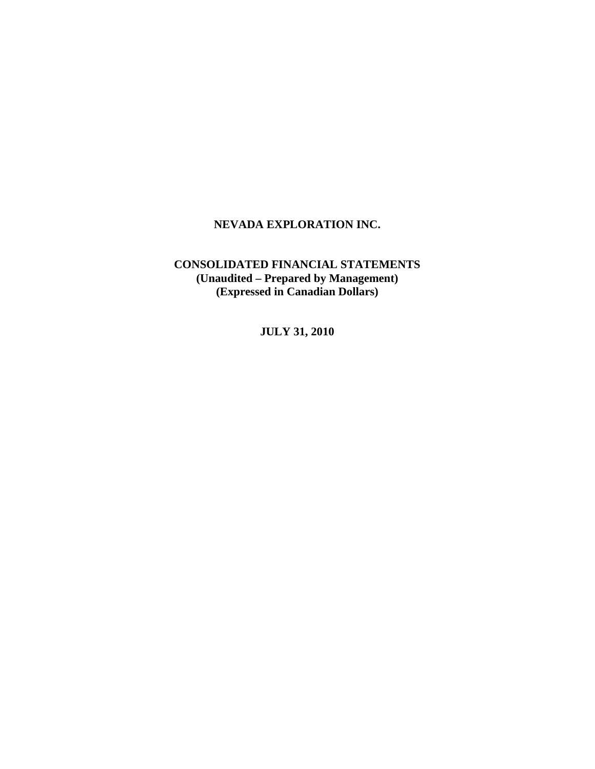# **CONSOLIDATED FINANCIAL STATEMENTS (Unaudited – Prepared by Management) (Expressed in Canadian Dollars)**

**JULY 31, 2010**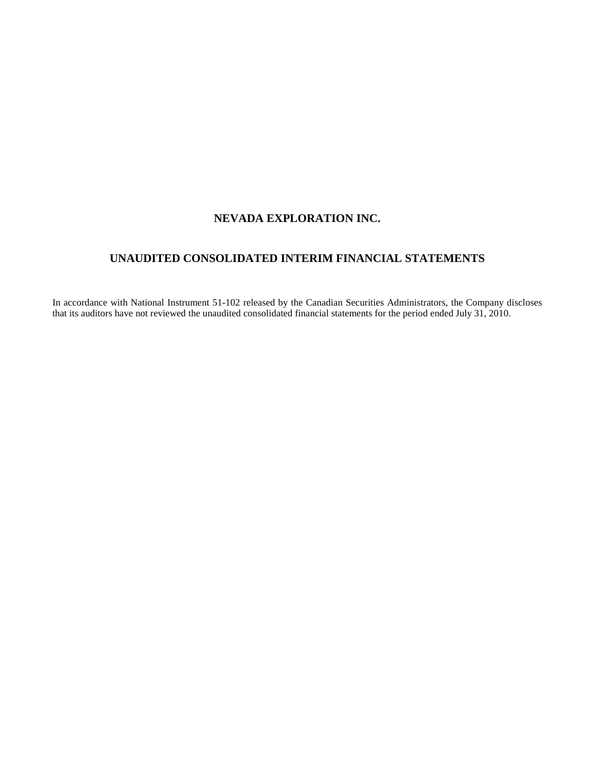# **UNAUDITED CONSOLIDATED INTERIM FINANCIAL STATEMENTS**

In accordance with National Instrument 51-102 released by the Canadian Securities Administrators, the Company discloses that its auditors have not reviewed the unaudited consolidated financial statements for the period ended July 31, 2010.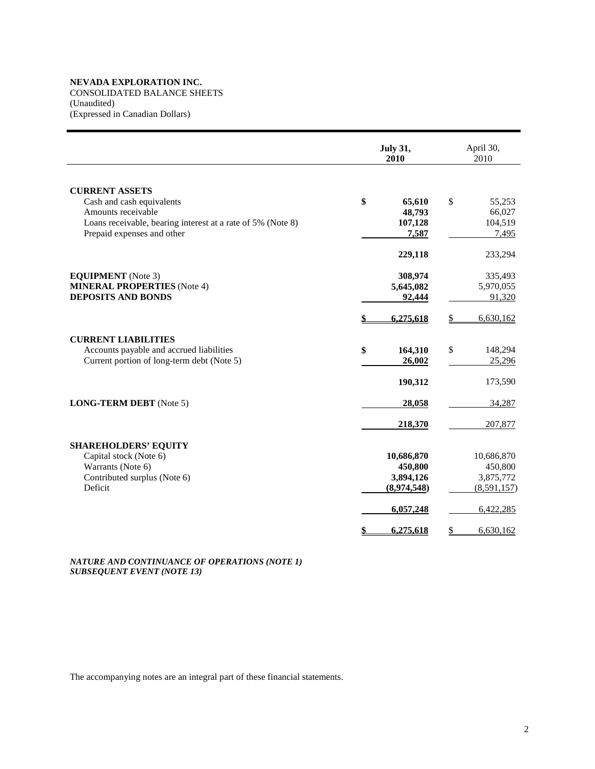CONSOLIDATED BALANCE SHEETS

(Unaudited)

(Expressed in Canadian Dollars)

|                                                                                           | <b>July 31,</b><br>2010 | April 30,<br>2010 |
|-------------------------------------------------------------------------------------------|-------------------------|-------------------|
| <b>CURRENT ASSETS</b>                                                                     |                         |                   |
| Cash and cash equivalents                                                                 | \$<br>65,610            | \$<br>55,253      |
| Amounts receivable                                                                        | 48,793                  | 66,027            |
| Loans receivable, bearing interest at a rate of 5% (Note 8)<br>Prepaid expenses and other | 107,128<br>7,587        | 104,519<br>7,495  |
|                                                                                           |                         |                   |
|                                                                                           | 229,118                 | 233,294           |
| <b>EQUIPMENT</b> (Note 3)                                                                 | 308,974                 | 335,493           |
| <b>MINERAL PROPERTIES</b> (Note 4)                                                        | 5,645,082               | 5,970,055         |
| <b>DEPOSITS AND BONDS</b>                                                                 | 92,444                  | 91,320            |
|                                                                                           | 6,275,618               | 6,630,162<br>\$   |
| <b>CURRENT LIABILITIES</b>                                                                |                         |                   |
| Accounts payable and accrued liabilities                                                  | \$<br>164,310           | \$<br>148,294     |
| Current portion of long-term debt (Note 5)                                                | 26,002                  | 25,296            |
|                                                                                           | 190,312                 | 173,590           |
| <b>LONG-TERM DEBT</b> (Note 5)                                                            | 28,058                  | 34,287            |
|                                                                                           | 218,370                 | 207,877           |
| <b>SHAREHOLDERS' EQUITY</b>                                                               |                         |                   |
| Capital stock (Note 6)                                                                    | 10,686,870              | 10,686,870        |
| Warrants (Note 6)                                                                         | 450,800                 | 450,800           |
| Contributed surplus (Note 6)                                                              | 3,894,126               | 3,875,772         |
| Deficit                                                                                   | (8,974,548)             | (8,591,157)       |
|                                                                                           | 6,057,248               | 6,422,285         |
|                                                                                           | 6,275,618<br>\$         | 6,630,162<br>\$   |

*NATURE AND CONTINUANCE OF OPERATIONS (NOTE 1) SUBSEQUENT EVENT (NOTE 13)*

The accompanying notes are an integral part of these financial statements.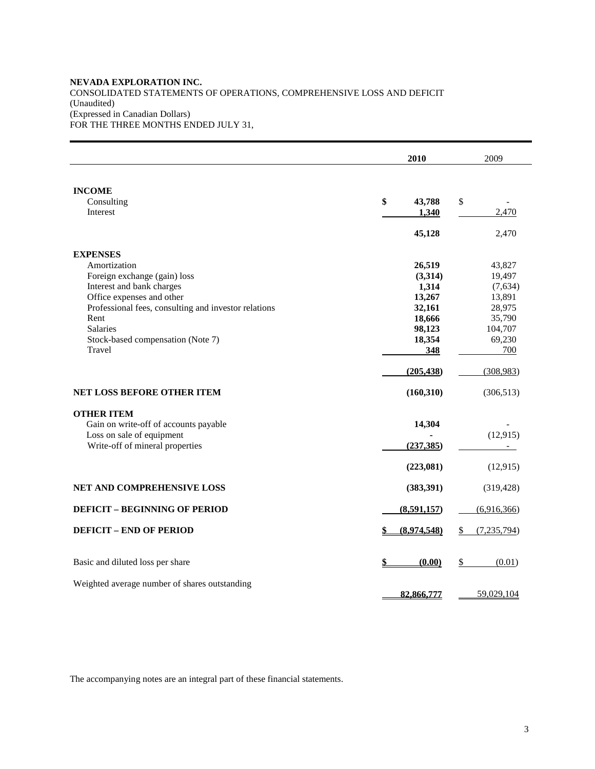### **NEVADA EXPLORATION INC.**  CONSOLIDATED STATEMENTS OF OPERATIONS, COMPREHENSIVE LOSS AND DEFICIT (Unaudited) (Expressed in Canadian Dollars) FOR THE THREE MONTHS ENDED JULY 31,

|                                                      | 2010 |                   | 2009           |
|------------------------------------------------------|------|-------------------|----------------|
| <b>INCOME</b><br>Consulting                          | \$   | 43,788<br>\$      |                |
| Interest                                             |      | 1,340<br>45,128   | 2,470<br>2,470 |
| <b>EXPENSES</b>                                      |      |                   |                |
| Amortization                                         |      | 26,519            | 43,827         |
| Foreign exchange (gain) loss                         |      | (3,314)           | 19,497         |
| Interest and bank charges                            |      | 1,314             | (7,634)        |
| Office expenses and other                            |      | 13,267            | 13,891         |
| Professional fees, consulting and investor relations |      | 32,161            | 28,975         |
| Rent                                                 |      | 18,666            | 35,790         |
| <b>Salaries</b>                                      |      | 98,123            | 104,707        |
| Stock-based compensation (Note 7)                    |      | 18,354            | 69,230         |
| Travel                                               |      | 348               | 700            |
|                                                      |      | (205, 438)        | (308, 983)     |
| NET LOSS BEFORE OTHER ITEM                           |      | (160, 310)        | (306, 513)     |
| <b>OTHER ITEM</b>                                    |      |                   |                |
| Gain on write-off of accounts payable                |      | 14,304            |                |
| Loss on sale of equipment                            |      |                   | (12, 915)      |
| Write-off of mineral properties                      |      | (237, 385)        | $\sim$         |
|                                                      |      | (223,081)         | (12, 915)      |
| NET AND COMPREHENSIVE LOSS                           |      | (383, 391)        | (319, 428)     |
| <b>DEFICIT - BEGINNING OF PERIOD</b>                 |      | (8,591,157)       | (6,916,366)    |
|                                                      |      |                   |                |
| <b>DEFICIT - END OF PERIOD</b>                       |      | (8,974,548)<br>S. | (7,235,794)    |
| Basic and diluted loss per share                     |      | \$<br>(0.00)      | (0.01)         |
|                                                      |      |                   |                |
| Weighted average number of shares outstanding        |      | 82,866,777        | 59,029,104     |

The accompanying notes are an integral part of these financial statements.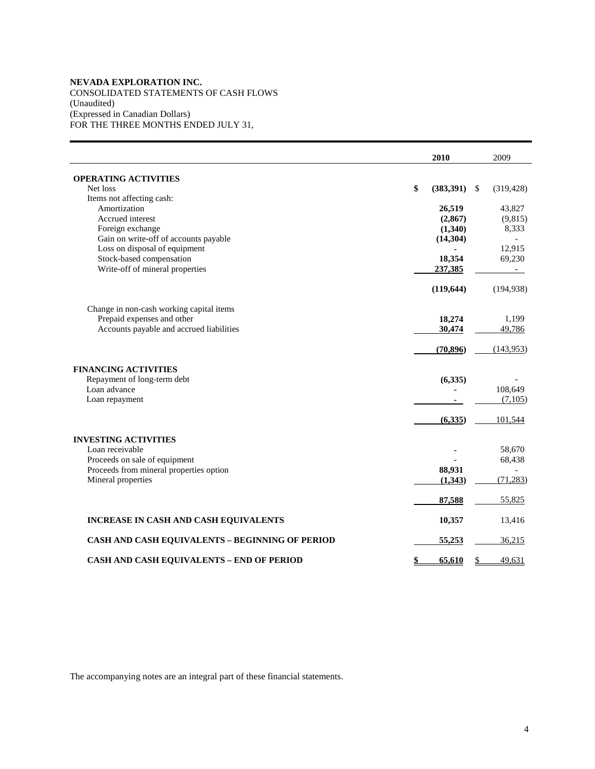CONSOLIDATED STATEMENTS OF CASH FLOWS (Unaudited) (Expressed in Canadian Dollars) FOR THE THREE MONTHS ENDED JULY 31,

|                                                        | 2010            | 2009             |
|--------------------------------------------------------|-----------------|------------------|
| <b>OPERATING ACTIVITIES</b>                            |                 |                  |
| Net loss                                               | \$<br>(383,391) | \$<br>(319, 428) |
| Items not affecting cash:                              |                 |                  |
| Amortization                                           | 26,519          | 43,827           |
| Accrued interest                                       | (2, 867)        | (9,815)          |
| Foreign exchange                                       | (1,340)         | 8,333            |
| Gain on write-off of accounts payable                  | (14, 304)       |                  |
| Loss on disposal of equipment                          |                 | 12,915           |
| Stock-based compensation                               | 18,354          | 69,230           |
| Write-off of mineral properties                        | 237,385         | $\sim$           |
|                                                        | (119, 644)      | (194, 938)       |
| Change in non-cash working capital items               |                 |                  |
| Prepaid expenses and other                             | 18,274          | 1.199            |
| Accounts payable and accrued liabilities               | 30,474          | 49,786           |
|                                                        | (70, 896)       | (143,953)        |
| <b>FINANCING ACTIVITIES</b>                            |                 |                  |
| Repayment of long-term debt                            | (6, 335)        |                  |
| Loan advance                                           |                 | 108,649          |
| Loan repayment                                         |                 | (7,105)          |
|                                                        | (6, 335)        | 101,544          |
| <b>INVESTING ACTIVITIES</b>                            |                 |                  |
| Loan receivable                                        |                 | 58,670           |
| Proceeds on sale of equipment                          |                 | 68,438           |
| Proceeds from mineral properties option                | 88,931          |                  |
| Mineral properties                                     | (1,343)         | (71, 283)        |
|                                                        | 87,588          | 55,825           |
| INCREASE IN CASH AND CASH EQUIVALENTS                  | 10,357          | 13,416           |
| <b>CASH AND CASH EQUIVALENTS - BEGINNING OF PERIOD</b> | 55,253          | 36,215           |
| <b>CASH AND CASH EQUIVALENTS - END OF PERIOD</b>       | \$<br>65,610    | \$<br>49,631     |

The accompanying notes are an integral part of these financial statements.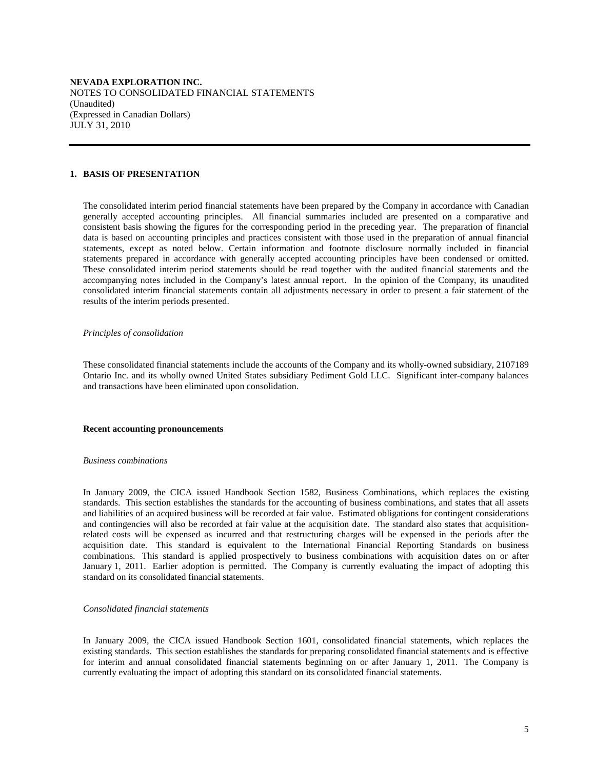**NEVADA EXPLORATION INC.**  NOTES TO CONSOLIDATED FINANCIAL STATEMENTS (Unaudited) (Expressed in Canadian Dollars) JULY 31, 2010

#### **1. BASIS OF PRESENTATION**

 The consolidated interim period financial statements have been prepared by the Company in accordance with Canadian generally accepted accounting principles. All financial summaries included are presented on a comparative and consistent basis showing the figures for the corresponding period in the preceding year. The preparation of financial data is based on accounting principles and practices consistent with those used in the preparation of annual financial statements, except as noted below. Certain information and footnote disclosure normally included in financial statements prepared in accordance with generally accepted accounting principles have been condensed or omitted. These consolidated interim period statements should be read together with the audited financial statements and the accompanying notes included in the Company's latest annual report. In the opinion of the Company, its unaudited consolidated interim financial statements contain all adjustments necessary in order to present a fair statement of the results of the interim periods presented.

#### *Principles of consolidation*

 These consolidated financial statements include the accounts of the Company and its wholly-owned subsidiary, 2107189 Ontario Inc. and its wholly owned United States subsidiary Pediment Gold LLC. Significant inter-company balances and transactions have been eliminated upon consolidation.

#### **Recent accounting pronouncements**

#### *Business combinations*

 In January 2009, the CICA issued Handbook Section 1582, Business Combinations, which replaces the existing standards. This section establishes the standards for the accounting of business combinations, and states that all assets and liabilities of an acquired business will be recorded at fair value. Estimated obligations for contingent considerations and contingencies will also be recorded at fair value at the acquisition date. The standard also states that acquisitionrelated costs will be expensed as incurred and that restructuring charges will be expensed in the periods after the acquisition date. This standard is equivalent to the International Financial Reporting Standards on business combinations. This standard is applied prospectively to business combinations with acquisition dates on or after January 1, 2011. Earlier adoption is permitted. The Company is currently evaluating the impact of adopting this standard on its consolidated financial statements.

#### *Consolidated financial statements*

 In January 2009, the CICA issued Handbook Section 1601, consolidated financial statements, which replaces the existing standards. This section establishes the standards for preparing consolidated financial statements and is effective for interim and annual consolidated financial statements beginning on or after January 1, 2011. The Company is currently evaluating the impact of adopting this standard on its consolidated financial statements.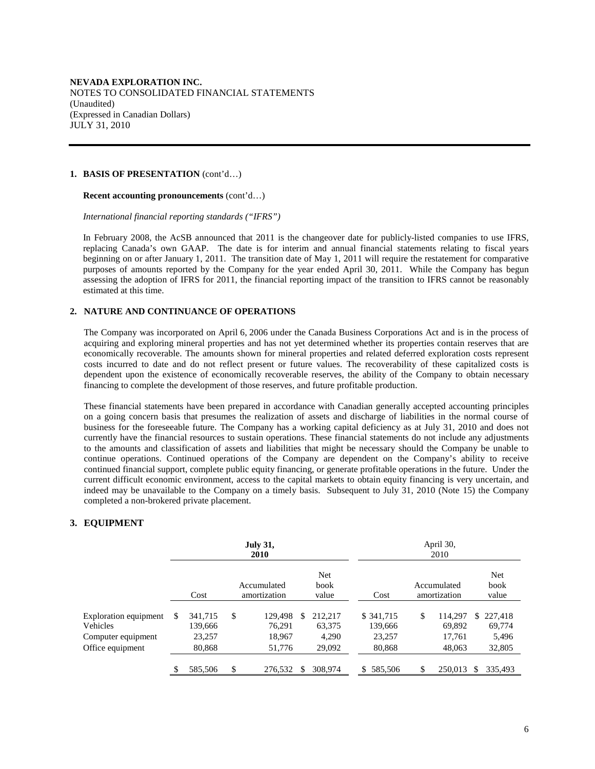#### **1. BASIS OF PRESENTATION** (cont'd…)

 **Recent accounting pronouncements** (cont'd…)

 *International financial reporting standards ("IFRS")* 

 In February 2008, the AcSB announced that 2011 is the changeover date for publicly-listed companies to use IFRS, replacing Canada's own GAAP. The date is for interim and annual financial statements relating to fiscal years beginning on or after January 1, 2011. The transition date of May 1, 2011 will require the restatement for comparative purposes of amounts reported by the Company for the year ended April 30, 2011. While the Company has begun assessing the adoption of IFRS for 2011, the financial reporting impact of the transition to IFRS cannot be reasonably estimated at this time.

#### **2. NATURE AND CONTINUANCE OF OPERATIONS**

The Company was incorporated on April 6, 2006 under the Canada Business Corporations Act and is in the process of acquiring and exploring mineral properties and has not yet determined whether its properties contain reserves that are economically recoverable. The amounts shown for mineral properties and related deferred exploration costs represent costs incurred to date and do not reflect present or future values. The recoverability of these capitalized costs is dependent upon the existence of economically recoverable reserves, the ability of the Company to obtain necessary financing to complete the development of those reserves, and future profitable production.

These financial statements have been prepared in accordance with Canadian generally accepted accounting principles on a going concern basis that presumes the realization of assets and discharge of liabilities in the normal course of business for the foreseeable future. The Company has a working capital deficiency as at July 31, 2010 and does not currently have the financial resources to sustain operations. These financial statements do not include any adjustments to the amounts and classification of assets and liabilities that might be necessary should the Company be unable to continue operations. Continued operations of the Company are dependent on the Company's ability to receive continued financial support, complete public equity financing, or generate profitable operations in the future. Under the current difficult economic environment, access to the capital markets to obtain equity financing is very uncertain, and indeed may be unavailable to the Company on a timely basis. Subsequent to July 31, 2010 (Note 15) the Company completed a non-brokered private placement.

### **3. EQUIPMENT**

|                                                                             |    |                                        | <b>July 31,</b><br><b>2010</b>              |   |                                      | April 30,<br>2010 |                                          |    |                                       |     |                                      |
|-----------------------------------------------------------------------------|----|----------------------------------------|---------------------------------------------|---|--------------------------------------|-------------------|------------------------------------------|----|---------------------------------------|-----|--------------------------------------|
|                                                                             |    | Cost                                   | Accumulated<br>amortization                 |   | Net<br>book<br>value                 |                   | Cost                                     |    | Accumulated<br>amortization           |     | Net<br>book<br>value                 |
| Exploration equipment<br>Vehicles<br>Computer equipment<br>Office equipment | S  | 341,715<br>139,666<br>23,257<br>80,868 | \$<br>129,498<br>76,291<br>18,967<br>51,776 | S | 212.217<br>63,375<br>4.290<br>29,092 |                   | \$341,715<br>139,666<br>23,257<br>80,868 | \$ | 114.297<br>69,892<br>17.761<br>48,063 | S.  | 227,418<br>69,774<br>5,496<br>32,805 |
|                                                                             | \$ | 585,506                                | \$<br>276,532                               | S | 308,974                              |                   | 585,506<br>\$.                           | \$ | 250,013                               | \$. | 335.493                              |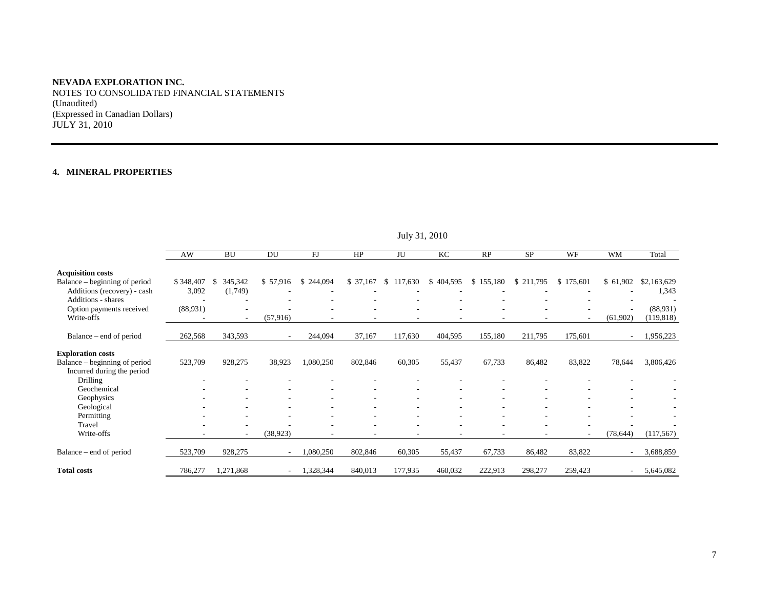NOTES TO CONSOLIDATED FINANCIAL STATEMENTS (Unaudited) (Expressed in Canadian Dollars) JULY 31, 2010

## **4. MINERAL PROPERTIES**

|                                                                                          | AW                 | <b>BU</b>               | DU        | FJ            | HP                       | JU                       | KC                       | RP        | <b>SP</b> | WF                       | <b>WM</b>                | Total                  |
|------------------------------------------------------------------------------------------|--------------------|-------------------------|-----------|---------------|--------------------------|--------------------------|--------------------------|-----------|-----------|--------------------------|--------------------------|------------------------|
| <b>Acquisition costs</b><br>Balance – beginning of period<br>Additions (recovery) - cash | \$348,407<br>3,092 | 345,342<br>S<br>(1,749) | \$57,916  | 244,094<br>S. | \$ 37,167                | 117,630<br><sup>\$</sup> | \$404,595                | \$155,180 | \$211,795 | \$175,601                | \$61,902                 | \$2,163,629<br>1,343   |
| <b>Additions - shares</b>                                                                |                    |                         |           |               |                          |                          |                          |           |           |                          |                          |                        |
| Option payments received<br>Write-offs                                                   | (88,931)           | $\sim$                  | (57, 916) |               | ٠                        |                          | $\overline{\phantom{a}}$ |           |           | $\overline{\phantom{a}}$ | (61,902)                 | (88,931)<br>(119, 818) |
| Balance – end of period                                                                  | 262,568            | 343,593                 | $\sim$    | 244,094       | 37,167                   | 117,630                  | 404,595                  | 155,180   | 211,795   | 175,601                  | $\sim$                   | 1,956,223              |
| <b>Exploration costs</b><br>Balance – beginning of period<br>Incurred during the period  | 523,709            | 928,275                 | 38,923    | 1,080,250     | 802,846                  | 60,305                   | 55,437                   | 67,733    | 86,482    | 83,822                   | 78,644                   | 3,806,426              |
| Drilling<br>Geochemical                                                                  |                    |                         |           |               |                          |                          |                          |           |           |                          |                          |                        |
| Geophysics                                                                               |                    |                         |           |               |                          |                          |                          |           |           |                          |                          |                        |
| Geological<br>Permitting                                                                 |                    |                         |           |               |                          |                          |                          |           |           |                          |                          |                        |
| Travel<br>Write-offs                                                                     |                    | $\sim$                  | (38, 923) |               | $\overline{\phantom{a}}$ | -                        | $\overline{\phantom{a}}$ |           |           | ٠                        | (78, 644)                | (117, 567)             |
| Balance – end of period                                                                  | 523,709            | 928,275                 |           | 1,080,250     | 802,846                  | 60,305                   | 55,437                   | 67,733    | 86,482    | 83,822                   |                          | 3,688,859              |
| <b>Total costs</b>                                                                       | 786,277            | 1,271,868               | ۰         | 1,328,344     | 840,013                  | 177,935                  | 460,032                  | 222,913   | 298,277   | 259,423                  | $\overline{\phantom{a}}$ | 5,645,082              |

July 31, 2010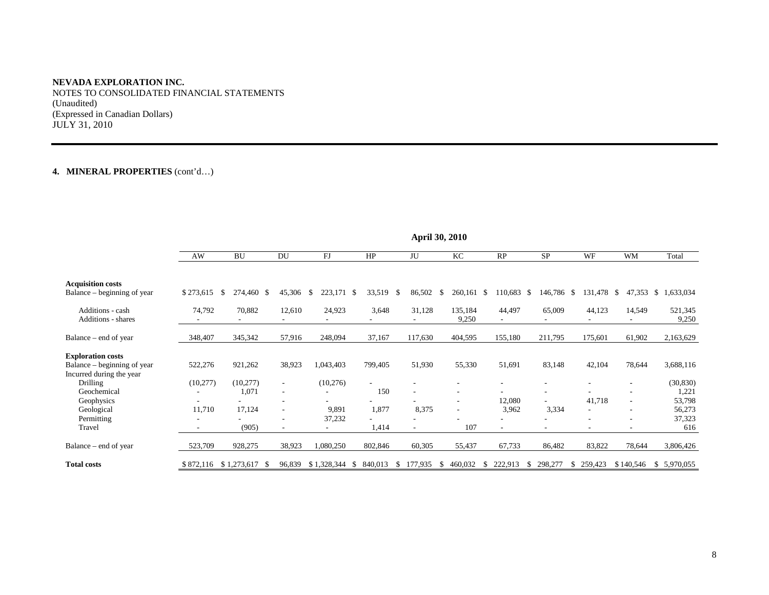NOTES TO CONSOLIDATED FINANCIAL STATEMENTS (Unaudited) (Expressed in Canadian Dollars) JULY 31, 2010

## **4. MINERAL PROPERTIES** (cont'd…)

|                                                                                     | April 50, 2010 |                          |        |               |                         |                |                               |                 |               |               |           |                     |
|-------------------------------------------------------------------------------------|----------------|--------------------------|--------|---------------|-------------------------|----------------|-------------------------------|-----------------|---------------|---------------|-----------|---------------------|
|                                                                                     | AW             | <b>BU</b>                | DU     | FJ            | HP                      | JU             | KC                            | RP              | <b>SP</b>     | WF            | <b>WM</b> | Total               |
| <b>Acquisition costs</b><br>Balance – beginning of year                             | \$273,615      | S.<br>274,460 \$         | 45,306 | \$<br>223,171 | 33,519<br>-\$           | 86,502<br>- \$ | S.<br>260,161 \$              | 110,683 \$      | 146,786 \$    | 131,478 \$    |           | 47,353 \$ 1,633,034 |
| Additions - cash<br>Additions - shares                                              | 74,792         | 70,882                   | 12,610 | 24,923        | 3,648                   | 31,128         | 135,184<br>9,250              | 44,497          | 65,009        | 44,123        | 14,549    | 521,345<br>9,250    |
| Balance – end of year                                                               | 348,407        | 345,342                  | 57,916 | 248,094       | 37,167                  | 117,630        | 404,595                       | 155,180         | 211,795       | 175,601       | 61,902    | 2,163,629           |
| <b>Exploration costs</b><br>Balance – beginning of year<br>Incurred during the year | 522,276        | 921,262                  | 38,923 | 1,043,403     | 799,405                 | 51,930         | 55,330                        | 51,691          | 83,148        | 42,104        | 78,644    | 3,688,116           |
| Drilling<br>Geochemical                                                             | (10,277)       | (10,277)<br>1,071        | $\sim$ | (10,276)      | 150                     |                | ٠<br>۰                        |                 |               |               |           | (30, 830)<br>1,221  |
| Geophysics<br>Geological                                                            | 11,710         | 17,124                   |        | 9,891         | 1,877                   | 8,375          | ٠<br>$\overline{\phantom{a}}$ | 12,080<br>3,962 | 3,334         | 41,718<br>۰   |           | 53,798<br>56,273    |
| Permitting<br>Travel                                                                |                | (905)                    |        | 37,232        | 1,414                   |                | 107                           |                 |               | ۰             |           | 37,323<br>616       |
| Balance – end of year                                                               | 523,709        | 928,275                  | 38,923 | 1,080,250     | 802,846                 | 60,305         | 55,437                        | 67,733          | 86,482        | 83,822        | 78,644    | 3,806,426           |
| <b>Total costs</b>                                                                  |                | \$872,116 \$1,273,617 \$ | 96,839 | \$1,328,344   | 840,013<br><sup>8</sup> | 177,935<br>Y.  | 460,032<br>У.                 | 222,913<br>- 55 | 298,277<br>У. | 259,423<br>S. | \$140,546 | \$ 5,970,055        |

**April 30, 2010**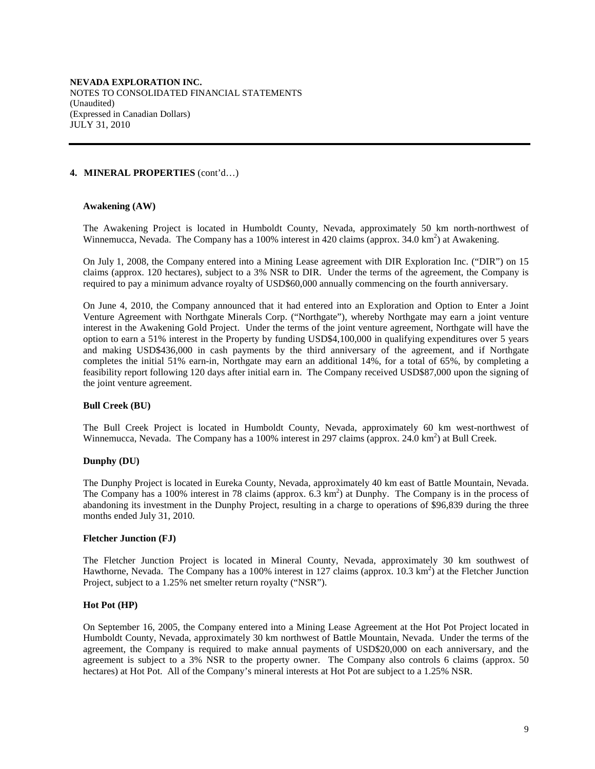#### **4. MINERAL PROPERTIES** (cont'd…)

#### **Awakening (AW)**

The Awakening Project is located in Humboldt County, Nevada, approximately 50 km north-northwest of Winnemucca, Nevada. The Company has a 100% interest in 420 claims (approx. 34.0 km<sup>2</sup>) at Awakening.

On July 1, 2008, the Company entered into a Mining Lease agreement with DIR Exploration Inc. ("DIR") on 15 claims (approx. 120 hectares), subject to a 3% NSR to DIR. Under the terms of the agreement, the Company is required to pay a minimum advance royalty of USD\$60,000 annually commencing on the fourth anniversary.

On June 4, 2010, the Company announced that it had entered into an Exploration and Option to Enter a Joint Venture Agreement with Northgate Minerals Corp. ("Northgate"), whereby Northgate may earn a joint venture interest in the Awakening Gold Project. Under the terms of the joint venture agreement, Northgate will have the option to earn a 51% interest in the Property by funding USD\$4,100,000 in qualifying expenditures over 5 years and making USD\$436,000 in cash payments by the third anniversary of the agreement, and if Northgate completes the initial 51% earn-in, Northgate may earn an additional 14%, for a total of 65%, by completing a feasibility report following 120 days after initial earn in. The Company received USD\$87,000 upon the signing of the joint venture agreement.

#### **Bull Creek (BU)**

The Bull Creek Project is located in Humboldt County, Nevada, approximately 60 km west-northwest of Winnemucca, Nevada. The Company has a 100% interest in 297 claims (approx. 24.0 km<sup>2</sup>) at Bull Creek.

#### **Dunphy (DU)**

The Dunphy Project is located in Eureka County, Nevada, approximately 40 km east of Battle Mountain, Nevada. The Company has a 100% interest in 78 claims (approx.  $6.\overline{3} \text{ km}^2$ ) at Dunphy. The Company is in the process of abandoning its investment in the Dunphy Project, resulting in a charge to operations of \$96,839 during the three months ended July 31, 2010.

#### **Fletcher Junction (FJ)**

The Fletcher Junction Project is located in Mineral County, Nevada, approximately 30 km southwest of Hawthorne, Nevada. The Company has a 100% interest in 127 claims (approx. 10.3 km<sup>2</sup>) at the Fletcher Junction Project, subject to a 1.25% net smelter return royalty ("NSR").

#### **Hot Pot (HP)**

On September 16, 2005, the Company entered into a Mining Lease Agreement at the Hot Pot Project located in Humboldt County, Nevada, approximately 30 km northwest of Battle Mountain, Nevada. Under the terms of the agreement, the Company is required to make annual payments of USD\$20,000 on each anniversary, and the agreement is subject to a 3% NSR to the property owner. The Company also controls 6 claims (approx. 50 hectares) at Hot Pot. All of the Company's mineral interests at Hot Pot are subject to a 1.25% NSR.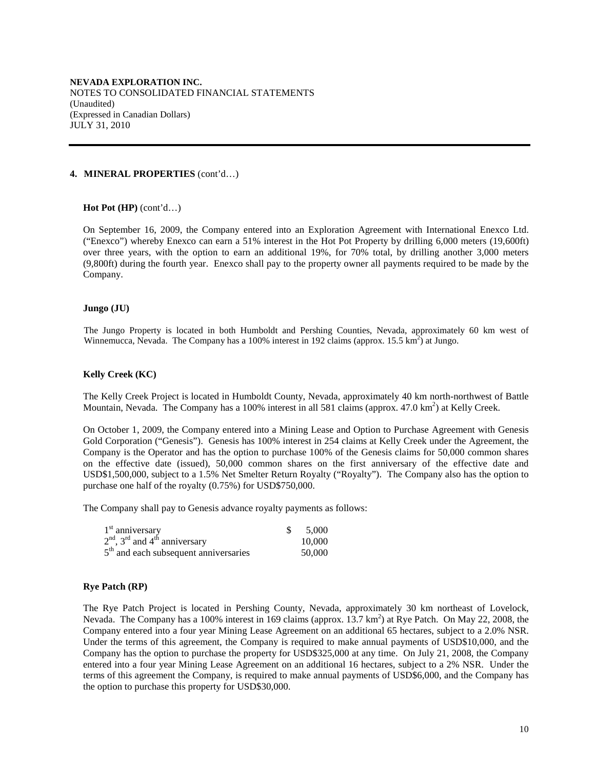#### **4. MINERAL PROPERTIES** (cont'd…)

#### **Hot Pot (HP)** (cont'd…)

On September 16, 2009, the Company entered into an Exploration Agreement with International Enexco Ltd. ("Enexco") whereby Enexco can earn a 51% interest in the Hot Pot Property by drilling 6,000 meters (19,600ft) over three years, with the option to earn an additional 19%, for 70% total, by drilling another 3,000 meters (9,800ft) during the fourth year. Enexco shall pay to the property owner all payments required to be made by the Company.

#### **Jungo (JU)**

The Jungo Property is located in both Humboldt and Pershing Counties, Nevada, approximately 60 km west of Winnemucca, Nevada. The Company has a 100% interest in 192 claims (approx.  $15.5 \text{ km}^2$ ) at Jungo.

#### **Kelly Creek (KC)**

The Kelly Creek Project is located in Humboldt County, Nevada, approximately 40 km north-northwest of Battle Mountain, Nevada. The Company has a 100% interest in all 581 claims (approx.  $47.0 \text{ km}^2$ ) at Kelly Creek.

On October 1, 2009, the Company entered into a Mining Lease and Option to Purchase Agreement with Genesis Gold Corporation ("Genesis"). Genesis has 100% interest in 254 claims at Kelly Creek under the Agreement, the Company is the Operator and has the option to purchase 100% of the Genesis claims for 50,000 common shares on the effective date (issued), 50,000 common shares on the first anniversary of the effective date and USD\$1,500,000, subject to a 1.5% Net Smelter Return Royalty ("Royalty"). The Company also has the option to purchase one half of the royalty (0.75%) for USD\$750,000.

The Company shall pay to Genesis advance royalty payments as follows:

| $1st$ anniversary                                       | \$5,000 |
|---------------------------------------------------------|---------|
| $2nd$ , 3 <sup>rd</sup> and 4 <sup>th</sup> anniversary | 10.000  |
| $5th$ and each subsequent anniversaries                 | 50,000  |

#### **Rye Patch (RP)**

The Rye Patch Project is located in Pershing County, Nevada, approximately 30 km northeast of Lovelock, Nevada. The Company has a 100% interest in 169 claims (approx. 13.7 km<sup>2</sup>) at Rye Patch. On May 22, 2008, the Company entered into a four year Mining Lease Agreement on an additional 65 hectares, subject to a 2.0% NSR. Under the terms of this agreement, the Company is required to make annual payments of USD\$10,000, and the Company has the option to purchase the property for USD\$325,000 at any time. On July 21, 2008, the Company entered into a four year Mining Lease Agreement on an additional 16 hectares, subject to a 2% NSR. Under the terms of this agreement the Company, is required to make annual payments of USD\$6,000, and the Company has the option to purchase this property for USD\$30,000.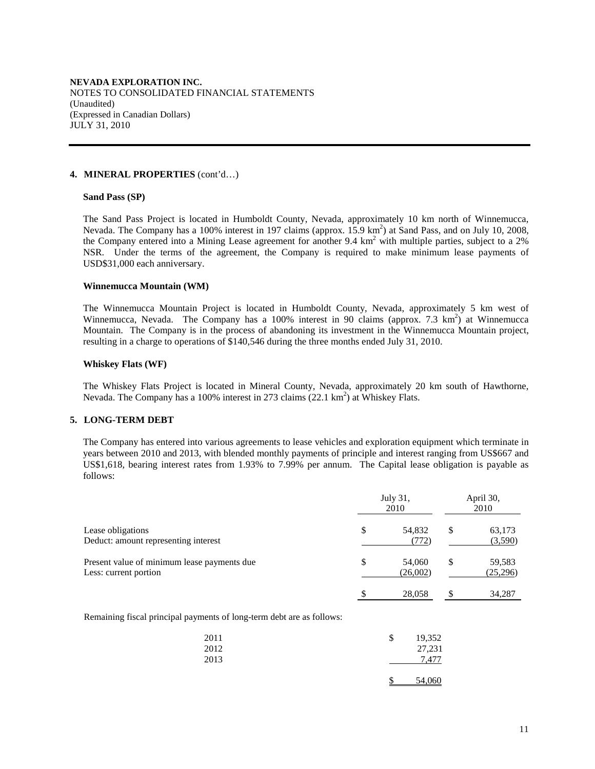#### **4. MINERAL PROPERTIES** (cont'd…)

#### **Sand Pass (SP)**

The Sand Pass Project is located in Humboldt County, Nevada, approximately 10 km north of Winnemucca, Nevada. The Company has a 100% interest in 197 claims (approx. 15.9 km<sup>2</sup>) at Sand Pass, and on July 10, 2008, the Company entered into a Mining Lease agreement for another 9.4 km<sup>2</sup> with multiple parties, subject to a 2% NSR. Under the terms of the agreement, the Company is required to make minimum lease payments of USD\$31,000 each anniversary.

#### **Winnemucca Mountain (WM)**

The Winnemucca Mountain Project is located in Humboldt County, Nevada, approximately 5 km west of Winnemucca, Nevada. The Company has a 100% interest in 90 claims (approx. 7.3  $km^2$ ) at Winnemucca Mountain. The Company is in the process of abandoning its investment in the Winnemucca Mountain project, resulting in a charge to operations of \$140,546 during the three months ended July 31, 2010.

#### **Whiskey Flats (WF)**

The Whiskey Flats Project is located in Mineral County, Nevada, approximately 20 km south of Hawthorne, Nevada. The Company has a 100% interest in 273 claims (22.1 km<sup>2</sup>) at Whiskey Flats.

#### **5. LONG-TERM DEBT**

 The Company has entered into various agreements to lease vehicles and exploration equipment which terminate in years between 2010 and 2013, with blended monthly payments of principle and interest ranging from US\$667 and US\$1,618, bearing interest rates from 1.93% to 7.99% per annum. The Capital lease obligation is payable as follows:

|                                                                      | July 31,<br>2010         |    |                    |
|----------------------------------------------------------------------|--------------------------|----|--------------------|
| Lease obligations<br>Deduct: amount representing interest            | \$<br>54,832<br>(772)    | \$ | 63,173<br>(3,590)  |
| Present value of minimum lease payments due<br>Less: current portion | \$<br>54,060<br>(26,002) | \$ | 59,583<br>(25,296) |
|                                                                      | \$<br>28,058             | \$ | 34.287             |

Remaining fiscal principal payments of long-term debt are as follows:

| 2011<br>2012 | 19,352<br>\$<br>27,231 |
|--------------|------------------------|
| 2013         | 7.477                  |
|              | 54,060                 |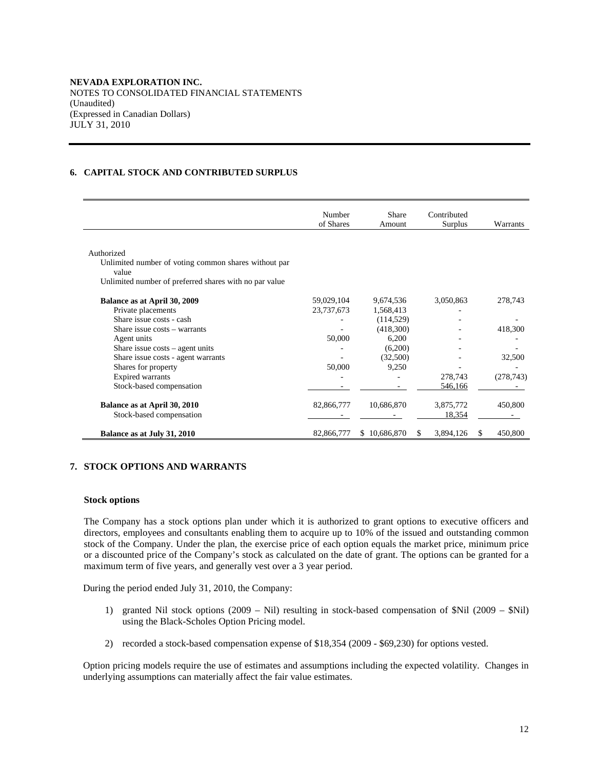## **6. CAPITAL STOCK AND CONTRIBUTED SURPLUS**

|                                                               | Number<br>of Shares | Share<br>Amount | Contributed<br>Surplus |   | Warrants   |
|---------------------------------------------------------------|---------------------|-----------------|------------------------|---|------------|
|                                                               |                     |                 |                        |   |            |
| Authorized                                                    |                     |                 |                        |   |            |
| Unlimited number of voting common shares without par<br>value |                     |                 |                        |   |            |
| Unlimited number of preferred shares with no par value        |                     |                 |                        |   |            |
| Balance as at April 30, 2009                                  | 59,029,104          | 9,674,536       | 3,050,863              |   | 278,743    |
| Private placements                                            | 23,737,673          | 1,568,413       |                        |   |            |
| Share issue costs - cash                                      |                     | (114, 529)      |                        |   |            |
| Share issue costs - warrants                                  |                     | (418,300)       |                        |   | 418,300    |
| Agent units                                                   | 50,000              | 6,200           |                        |   |            |
| Share issue $costs - agent$ units                             |                     | (6,200)         |                        |   |            |
| Share issue costs - agent warrants                            |                     | (32,500)        |                        |   | 32,500     |
| Shares for property                                           | 50,000              | 9,250           |                        |   |            |
| <b>Expired warrants</b>                                       |                     |                 | 278,743                |   | (278, 743) |
| Stock-based compensation                                      |                     |                 | 546,166                |   |            |
| Balance as at April 30, 2010                                  | 82,866,777          | 10,686,870      | 3,875,772              |   | 450,800    |
| Stock-based compensation                                      |                     |                 | 18,354                 |   |            |
| Balance as at July 31, 2010                                   | 82,866,777          | \$10,686,870    | 3,894,126<br>S.        | S | 450,800    |

#### **7. STOCK OPTIONS AND WARRANTS**

#### **Stock options**

The Company has a stock options plan under which it is authorized to grant options to executive officers and directors, employees and consultants enabling them to acquire up to 10% of the issued and outstanding common stock of the Company. Under the plan, the exercise price of each option equals the market price, minimum price or a discounted price of the Company's stock as calculated on the date of grant. The options can be granted for a maximum term of five years, and generally vest over a 3 year period.

During the period ended July 31, 2010, the Company:

- 1) granted Nil stock options (2009 Nil) resulting in stock-based compensation of \$Nil (2009 \$Nil) using the Black-Scholes Option Pricing model.
- 2) recorded a stock-based compensation expense of \$18,354 (2009 \$69,230) for options vested.

Option pricing models require the use of estimates and assumptions including the expected volatility. Changes in underlying assumptions can materially affect the fair value estimates.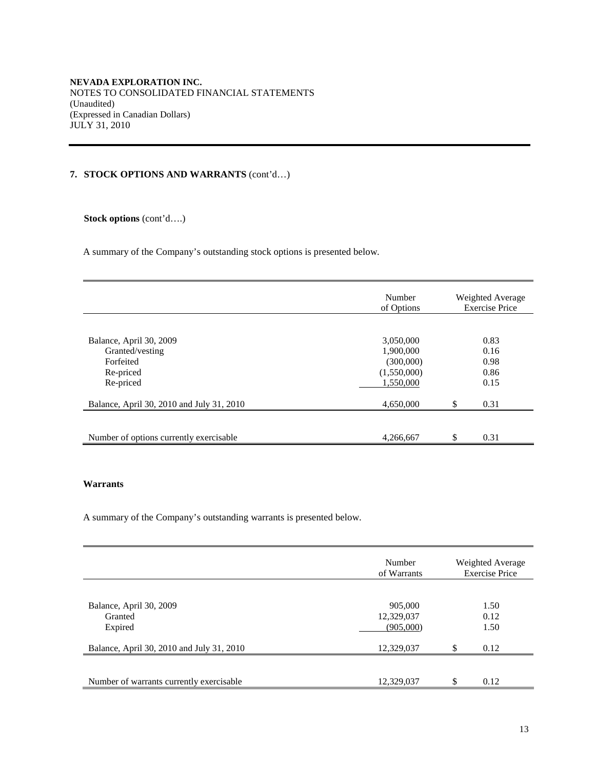**NEVADA EXPLORATION INC.**  NOTES TO CONSOLIDATED FINANCIAL STATEMENTS (Unaudited) (Expressed in Canadian Dollars) JULY 31, 2010

## **7. STOCK OPTIONS AND WARRANTS** (cont'd…)

 **Stock options** (cont'd….)

A summary of the Company's outstanding stock options is presented below.

|                                                                                   | Number<br>of Options                                            | Weighted Average<br><b>Exercise Price</b> |
|-----------------------------------------------------------------------------------|-----------------------------------------------------------------|-------------------------------------------|
|                                                                                   |                                                                 |                                           |
| Balance, April 30, 2009<br>Granted/vesting<br>Forfeited<br>Re-priced<br>Re-priced | 3,050,000<br>1,900,000<br>(300,000)<br>(1,550,000)<br>1.550.000 | 0.83<br>0.16<br>0.98<br>0.86<br>0.15      |
| Balance, April 30, 2010 and July 31, 2010                                         | 4,650,000                                                       | \$<br>0.31                                |
|                                                                                   |                                                                 |                                           |
| Number of options currently exercisable                                           | 4,266,667                                                       | \$<br>0.31                                |

## **Warrants**

A summary of the Company's outstanding warrants is presented below.

|                                           | Number<br>of Warrants | Weighted Average<br><b>Exercise Price</b> |
|-------------------------------------------|-----------------------|-------------------------------------------|
|                                           |                       |                                           |
| Balance, April 30, 2009                   | 905,000               | 1.50                                      |
| Granted                                   | 12,329,037            | 0.12                                      |
| Expired                                   | (905,000)             | 1.50                                      |
|                                           |                       |                                           |
| Balance, April 30, 2010 and July 31, 2010 | 12,329,037            | \$<br>0.12                                |
|                                           |                       |                                           |
|                                           |                       |                                           |
| Number of warrants currently exercisable  | 12,329,037            | \$<br>0.12                                |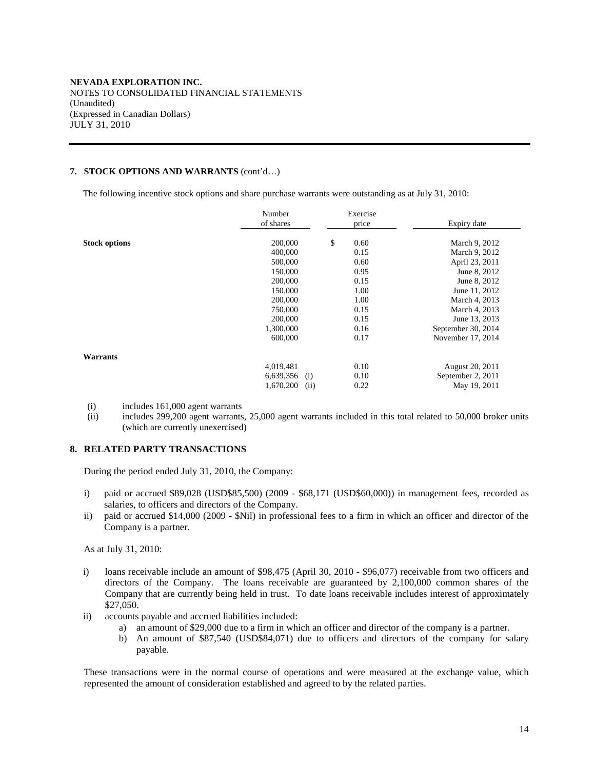### **7. STOCK OPTIONS AND WARRANTS** (cont'd…)

The following incentive stock options and share purchase warrants were outstanding as at July 31, 2010:

|                      | Number<br>of shares | Exercise<br>price | Expiry date        |
|----------------------|---------------------|-------------------|--------------------|
| <b>Stock options</b> | 200,000             | \$<br>0.60        | March 9, 2012      |
|                      | 400,000             | 0.15              | March 9, 2012      |
|                      | 500,000             | 0.60              | April 23, 2011     |
|                      | 150,000             | 0.95              | June 8, 2012       |
|                      | 200,000             | 0.15              | June 8, 2012       |
|                      | 150,000             | 1.00              | June 11, 2012      |
|                      | 200,000             | 1.00              | March 4, 2013      |
|                      | 750,000             | 0.15              | March 4, 2013      |
|                      | 200,000             | 0.15              | June 13, 2013      |
|                      | 1,300,000           | 0.16              | September 30, 2014 |
|                      | 600,000             | 0.17              | November 17, 2014  |
| Warrants             |                     |                   |                    |
|                      | 4,019,481           | 0.10              | August 20, 2011    |
|                      | $6,639,356$ (i)     | 0.10              | September 2, 2011  |
|                      | 1,670,200<br>(ii)   | 0.22              | May 19, 2011       |

- (i) includes 161,000 agent warrants
- (ii) includes 299,200 agent warrants, 25,000 agent warrants included in this total related to 50,000 broker units (which are currently unexercised)

## **8. RELATED PARTY TRANSACTIONS**

During the period ended July 31, 2010, the Company:

- i) paid or accrued \$89,028 (USD\$85,500) (2009 \$68,171 (USD\$60,000)) in management fees, recorded as salaries, to officers and directors of the Company.
- ii) paid or accrued \$14,000 (2009 \$Nil) in professional fees to a firm in which an officer and director of the Company is a partner.

As at July 31, 2010:

- i) loans receivable include an amount of \$98,475 (April 30, 2010 \$96,077) receivable from two officers and directors of the Company. The loans receivable are guaranteed by 2,100,000 common shares of the Company that are currently being held in trust. To date loans receivable includes interest of approximately \$27,050.
- ii) accounts payable and accrued liabilities included:
	- a) an amount of \$29,000 due to a firm in which an officer and director of the company is a partner.
	- b) An amount of \$87,540 (USD\$84,071) due to officers and directors of the company for salary payable.

These transactions were in the normal course of operations and were measured at the exchange value, which represented the amount of consideration established and agreed to by the related parties.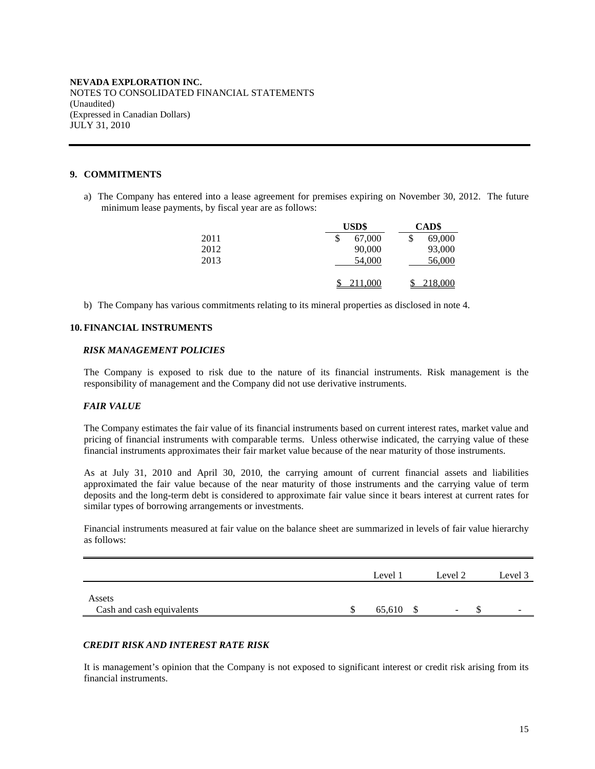### **9. COMMITMENTS**

a) The Company has entered into a lease agreement for premises expiring on November 30, 2012. The future minimum lease payments, by fiscal year are as follows:

|      | USD\$        | CAD\$   |  |  |
|------|--------------|---------|--|--|
| 2011 | 67,000<br>\$ | 69,000  |  |  |
| 2012 | 90,000       | 93,000  |  |  |
| 2013 | 54,000       | 56,000  |  |  |
|      | 211,000      | 218,000 |  |  |

b) The Company has various commitments relating to its mineral properties as disclosed in note 4.

### **10. FINANCIAL INSTRUMENTS**

#### *RISK MANAGEMENT POLICIES*

The Company is exposed to risk due to the nature of its financial instruments. Risk management is the responsibility of management and the Company did not use derivative instruments.

#### *FAIR VALUE*

The Company estimates the fair value of its financial instruments based on current interest rates, market value and pricing of financial instruments with comparable terms. Unless otherwise indicated, the carrying value of these financial instruments approximates their fair market value because of the near maturity of those instruments.

As at July 31, 2010 and April 30, 2010, the carrying amount of current financial assets and liabilities approximated the fair value because of the near maturity of those instruments and the carrying value of term deposits and the long-term debt is considered to approximate fair value since it bears interest at current rates for similar types of borrowing arrangements or investments.

Financial instruments measured at fair value on the balance sheet are summarized in levels of fair value hierarchy as follows:

|                                     | Level 1 | Level 2                  | Level 3                  |
|-------------------------------------|---------|--------------------------|--------------------------|
| Assets<br>Cash and cash equivalents | 65,610  | $\overline{\phantom{0}}$ | $\overline{\phantom{0}}$ |

### *CREDIT RISK AND INTEREST RATE RISK*

It is management's opinion that the Company is not exposed to significant interest or credit risk arising from its financial instruments.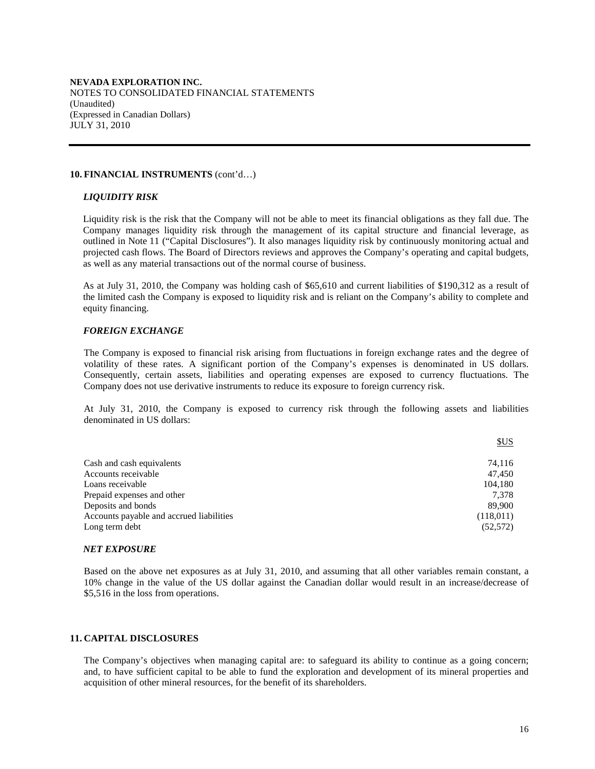#### **10. FINANCIAL INSTRUMENTS** (cont'd…)

#### *LIQUIDITY RISK*

Liquidity risk is the risk that the Company will not be able to meet its financial obligations as they fall due. The Company manages liquidity risk through the management of its capital structure and financial leverage, as outlined in Note 11 ("Capital Disclosures"). It also manages liquidity risk by continuously monitoring actual and projected cash flows. The Board of Directors reviews and approves the Company's operating and capital budgets, as well as any material transactions out of the normal course of business.

As at July 31, 2010, the Company was holding cash of \$65,610 and current liabilities of \$190,312 as a result of the limited cash the Company is exposed to liquidity risk and is reliant on the Company's ability to complete and equity financing.

### *FOREIGN EXCHANGE*

The Company is exposed to financial risk arising from fluctuations in foreign exchange rates and the degree of volatility of these rates. A significant portion of the Company's expenses is denominated in US dollars. Consequently, certain assets, liabilities and operating expenses are exposed to currency fluctuations. The Company does not use derivative instruments to reduce its exposure to foreign currency risk.

At July 31, 2010, the Company is exposed to currency risk through the following assets and liabilities denominated in US dollars:

|                                          | \$US      |
|------------------------------------------|-----------|
|                                          |           |
| Cash and cash equivalents                | 74.116    |
| Accounts receivable                      | 47.450    |
| Loans receivable                         | 104.180   |
| Prepaid expenses and other               | 7.378     |
| Deposits and bonds                       | 89.900    |
| Accounts payable and accrued liabilities | (118,011) |
| Long term debt                           | (52, 572) |

#### *NET EXPOSURE*

Based on the above net exposures as at July 31, 2010, and assuming that all other variables remain constant, a 10% change in the value of the US dollar against the Canadian dollar would result in an increase/decrease of \$5,516 in the loss from operations.

#### **11. CAPITAL DISCLOSURES**

The Company's objectives when managing capital are: to safeguard its ability to continue as a going concern; and, to have sufficient capital to be able to fund the exploration and development of its mineral properties and acquisition of other mineral resources, for the benefit of its shareholders.